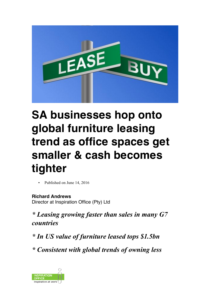

## **SA businesses hop onto global furniture leasing trend as office spaces get smaller & cash becomes tighter**

Published on June 14, 2016

**Richard Andrews** Director at Inspiration Office (Pty) Ltd

*\* Leasing growing faster than sales in many G7 countries*

*\* In US value of furniture leased tops \$1.5bn*

*\* Consistent with global trends of owning less*

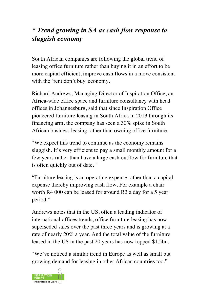## *\* Trend growing in SA as cash flow response to sluggish economy*

South African companies are following the global trend of leasing office furniture rather than buying it in an effort to be more capital efficient, improve cash flows in a move consistent with the 'rent don't buy' economy.

Richard Andrews, Managing Director of Inspiration Office, an Africa-wide office space and furniture consultancy with head offices in Johannesburg, said that since Inspiration Office pioneered furniture leasing in South Africa in 2013 through its financing arm, the company has seen a 30% spike in South African business leasing rather than owning office furniture.

"We expect this trend to continue as the economy remains sluggish. It's very efficient to pay a small monthly amount for a few years rather than have a large cash outflow for furniture that is often quickly out of date. "

"Furniture leasing is an operating expense rather than a capital expense thereby improving cash flow. For example a chair worth R4 000 can be leased for around R3 a day for a 5 year period."

Andrews notes that in the US, often a leading indicator of international offices trends, office furniture leasing has now superseded sales over the past three years and is growing at a rate of nearly 20% a year. And the total value of the furniture leased in the US in the past 20 years has now topped \$1.5bn.

"We've noticed a similar trend in Europe as well as small but growing demand for leasing in other African countries too."